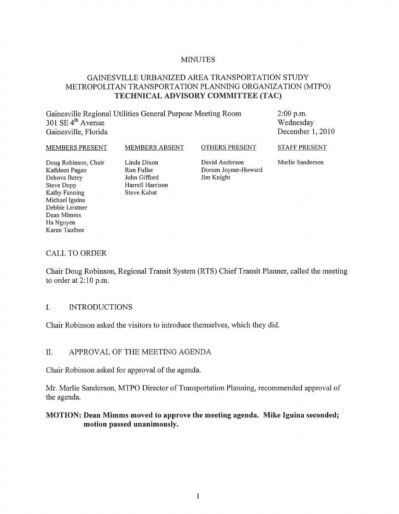#### MINUTES

### GAINESVILLE URBANIZED AREA TRANSPORTATION STUDY METROPOLITAN TRANSPORTATION PLANNING ORGANIZATION (MTPO) TECHNICAL ADVISORY COMMITTEE (TAC)

Gainesville Regional Utilities General Purpose Meeting Room 301 SE  $4^{th}$  Avenue Gainesville, Florida

2:00 p.m. Wednesday December 1, 2010

MEMBERS PRESENT

MEMBERS ABSENT

OTHERS PRESENT

STAFF PRESENT

Doug Robinson, Chair Kathleen Pagan Dekova Batey Steve Dopp Kathy Fanning Michael Iguina Debbie Leistner Dean Mimms Ha Nguyen Karen Taulbee

Linda Dixon Ron Fuller John Gifford Harrell Harrison Steve Kabat

David Anderson Doreen Joyner-Howard Jim Knight

Marlie Sanderson

#### CALL TO ORDER

Chair Doug Robinson, Regional Transit System (RTS) Chief Transit Planner, called the meeting to order at  $2:10$  p.m.

#### 1. INTRODUCTIONS

Chair Robinson asked the visitors to introduce themselves, which they did.

#### II. APPROVAL OF THE MEETING AGENDA

Chair Robinson asked for approval of the agenda.

Mr. Marlie Sanderson, MTPO Director of Transportation Planning, recommended approval of the agenda.

#### MOTION: Dean Mimms moved to approve the meeting agenda. Mike Iguina seconded; motion passed unanimously.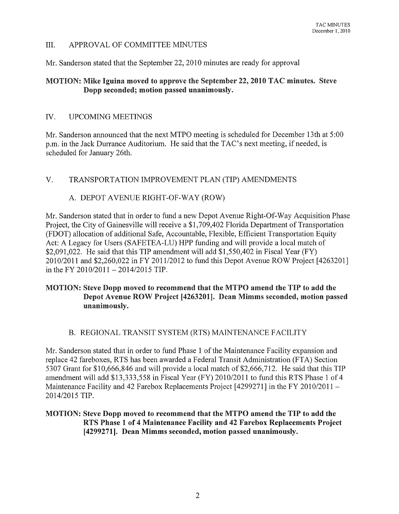## III. APPROV AL OF COMMITTEE MINUTES

Mr. Sanderson stated that the September 22, 2010 minutes are ready for approval

## MOTION: Mike Iguina moved to approve the September 22, 2010 TAC minutes. Steve Dopp seconded; motion passed unanimously.

#### IV. UPCOMING MEETINGS

Mr. Sanderson announced that the next MTPO meeting is scheduled for December 13th at 5:00 p.m. in the Jack Durrance Auditorium. He said that the TAC's next meeting, if needed, is scheduled for January 26th.

V. TRANSPORTATION IMPROVEMENT PLAN (TIP) AMENDMENTS

# A. DEPOT AVENUE RIGHT-OF-WAY (ROW)

Mr. Sanderson stated that in order to fund a new Depot A venue Right-Of-Way Acquisition Phase Project, the City of Gainesville will receive a \$1,709,402 Florida Department of Transportation (FDOT) allocation of additional Safe, Accountable, Flexible, Efficient Transportation Equity Act: A Legacy for Users (SAFETEA-LU) HPP funding and will provide a local match of \$2,091,022. He said that this TIP amendment will add \$1,550,402 in Fiscal Year (FY) 2010/2011 and \$2,260,022 in FY 2011/2012 to fund this Depot Avenue ROW Project [4263201] in the FY 2010/2011  $-$  2014/2015 TIP.

#### MOTION: Steve Dopp moved to recommend that the MTPO amend the TIP to add the Depot Avenue ROW Project [4263201]. Dean Mimms seconded, motion passed unanimously.

# B. REGIONAL TRANSIT SYSTEM (RTS) MAINTENANCE FACILITY

Mr. Sanderson stated that in order to fund Phase 1 of the Maintenance Facility expansion and replace 42 fareboxes, RTS has been awarded a Federal Transit Administration (FTA) Section 5307 Grant for \$10,666,846 and will provide a local match of \$2,666,712. He said that this TIP amendment will add \$13,333,558 in Fiscal Year (FY) 2010/2011 to fund this RTS Phase 1 of 4 Maintenance Facility and 42 Farebox Replacements Project [4299271] in the FY 2010/2011 -2014/2015 TIP.

# MOTION: Steve Dopp moved to recommend that the MTPO amend the TIP to add the RTS Phase 1 of 4 Maintenance Facility and 42 Farebox Replacements Project [4299271]. Dean Mimms seconded, motion passed unanimously.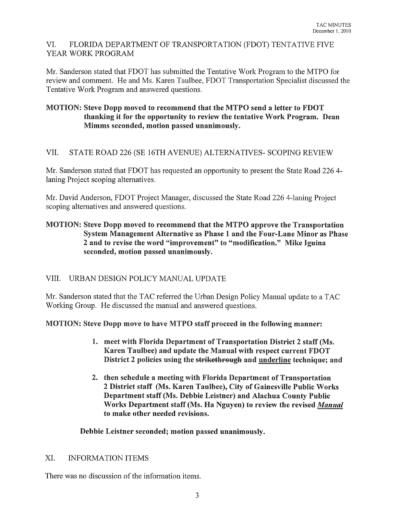## VI. FLORIDA DEPARTMENT OF TRANSPORTATION (FDOT) TENTATIVE FIVE YEAR WORK PROGRAM

Mr. Sanderson stated that FDOT has submitted the Tentative Work Program to the MTPO for review and comment. He and Ms. Karen Taulbee, FDOT Transportation Specialist discussed the Tentative Work Program and answered questions.

# MOTION: Steve Dopp moved to recommend that the MTPO send a letter to FDOT thanking it for the opportunity to review the tentative Work Program. Dean Mimms seconded, motion passed unanimously.

# VII. STATE ROAD 226 (SE 16TH AVENUE) AL TERNA TIVES- SCOPING REVIEW

Mr. Sanderson stated that FDOT has requested an opportunity to present the State Road 226 4 laning Project scoping alternatives.

Mr. David Anderson, FDOT Project Manager, discussed the State Road 226 4-laning Project scoping alternatives and answered questions.

### MOTION: Steve Dopp moved to recommend that the MTPO approve the Transportation System Management Alternative as Phase 1 and the Four-Lane Minor as Phase 2 and to revise the word "improvement" to "modification." Mike Iguina seconded, motion passed unanimously.

# VIII. URBAN DESIGN POLICY MANUAL UPDATE

Mr. Sanderson stated that the TAC referred the Urban Design Policy Manual update to a TAC Working Group. He discussed the manual and answered questions.

# MOTION: Steve Dopp move to have MTPO staff proceed in the following manner:

- 1. meet with Florida Department of Transportation District 2 staff (Ms. Karen Taulbee) and update the Manual with respect current FDOT District 2 policies using the strikethrough and underline technique; and
- 2. then schedule a meeting with Florida Department of Transportation 2 District staff (Ms. Karen Taulbee), City of Gainesville Public Works Department staff (Ms. Debbie Leistner) and Alachua County Public Works Department staff (Ms. Ha Nguyen) to review the revised *Manual*  to make other needed revisions.

Debbie Leistner seconded; motion passed unanimously.

# XI. INFORMATION ITEMS

There was no discussion of the information items.